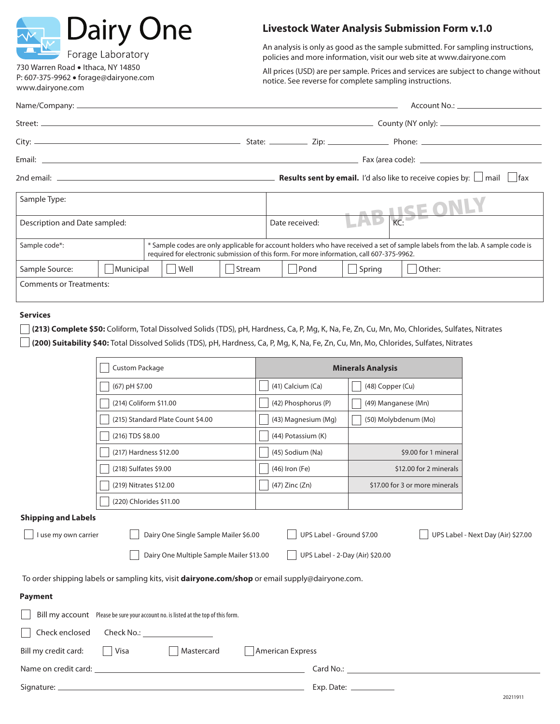| <b>Dairy One</b>                                                                                | <b>Livestock Water Analysis Submission Form v.1.0</b>                                                                                                                                                                       |  |  |  |
|-------------------------------------------------------------------------------------------------|-----------------------------------------------------------------------------------------------------------------------------------------------------------------------------------------------------------------------------|--|--|--|
| Forage Laboratory                                                                               | An analysis is only as good as the sample submitted. For sampling instructions,<br>policies and more information, visit our web site at www.dairyone.com                                                                    |  |  |  |
| 730 Warren Road • Ithaca, NY 14850<br>P: 607-375-9962 · forage@dairyone.com<br>www.dairyone.com | All prices (USD) are per sample. Prices and services are subject to change without<br>notice. See reverse for complete sampling instructions.                                                                               |  |  |  |
|                                                                                                 |                                                                                                                                                                                                                             |  |  |  |
|                                                                                                 |                                                                                                                                                                                                                             |  |  |  |
|                                                                                                 |                                                                                                                                                                                                                             |  |  |  |
|                                                                                                 |                                                                                                                                                                                                                             |  |  |  |
|                                                                                                 |                                                                                                                                                                                                                             |  |  |  |
| Sample Type:                                                                                    | LAB KE ONLY                                                                                                                                                                                                                 |  |  |  |
| Description and Date sampled:                                                                   | Date received:                                                                                                                                                                                                              |  |  |  |
| Sample code*:                                                                                   | * Sample codes are only applicable for account holders who have received a set of sample labels from the lab. A sample code is<br>required for electronic submission of this form. For more information, call 607-375-9962. |  |  |  |
| Municipal<br>$\vert$ Well<br>Sample Source:<br>  Stream                                         | $\Box$ Spring<br>  Pond<br>  Other:                                                                                                                                                                                         |  |  |  |
| <b>Comments or Treatments:</b>                                                                  |                                                                                                                                                                                                                             |  |  |  |

## **Services**

**(213) Complete \$50:** Coliform, Total Dissolved Solids (TDS), pH, Hardness, Ca, P, Mg, K, Na, Fe, Zn, Cu, Mn, Mo, Chlorides, Sulfates, Nitrates **(200) Suitability \$40:** Total Dissolved Solids (TDS), pH, Hardness, Ca, P, Mg, K, Na, Fe, Zn, Cu, Mn, Mo, Chlorides, Sulfates, Nitrates

|                                                                                                         | <b>Custom Package</b>                                                                     | <b>Minerals Analysis</b>  |                                                                                                                                                                                                                               |                                    |  |
|---------------------------------------------------------------------------------------------------------|-------------------------------------------------------------------------------------------|---------------------------|-------------------------------------------------------------------------------------------------------------------------------------------------------------------------------------------------------------------------------|------------------------------------|--|
|                                                                                                         | (67) pH \$7.00                                                                            | (41) Calcium (Ca)         | (48) Copper (Cu)                                                                                                                                                                                                              |                                    |  |
|                                                                                                         | (214) Coliform \$11.00                                                                    | (42) Phosphorus (P)       | (49) Manganese (Mn)                                                                                                                                                                                                           |                                    |  |
|                                                                                                         | (215) Standard Plate Count \$4.00                                                         | (43) Magnesium (Mg)       | (50) Molybdenum (Mo)                                                                                                                                                                                                          |                                    |  |
|                                                                                                         | (216) TDS \$8.00                                                                          | (44) Potassium (K)        |                                                                                                                                                                                                                               |                                    |  |
|                                                                                                         | (217) Hardness \$12.00                                                                    | (45) Sodium (Na)          | \$9.00 for 1 mineral                                                                                                                                                                                                          |                                    |  |
|                                                                                                         | (218) Sulfates \$9.00                                                                     | (46) Iron (Fe)            | \$12.00 for 2 minerals                                                                                                                                                                                                        |                                    |  |
|                                                                                                         | (219) Nitrates \$12.00                                                                    | (47) Zinc (Zn)            | \$17.00 for 3 or more minerals                                                                                                                                                                                                |                                    |  |
|                                                                                                         | (220) Chlorides \$11.00                                                                   |                           |                                                                                                                                                                                                                               |                                    |  |
| <b>Shipping and Labels</b>                                                                              |                                                                                           |                           |                                                                                                                                                                                                                               |                                    |  |
| I use my own carrier                                                                                    | Dairy One Single Sample Mailer \$6.00                                                     | UPS Label - Ground \$7.00 |                                                                                                                                                                                                                               | UPS Label - Next Day (Air) \$27.00 |  |
| UPS Label - 2-Day (Air) \$20.00<br>Dairy One Multiple Sample Mailer \$13.00                             |                                                                                           |                           |                                                                                                                                                                                                                               |                                    |  |
| To order shipping labels or sampling kits, visit <b>dairyone.com/shop</b> or email supply@dairyone.com. |                                                                                           |                           |                                                                                                                                                                                                                               |                                    |  |
| <b>Payment</b>                                                                                          |                                                                                           |                           |                                                                                                                                                                                                                               |                                    |  |
| Bill my account Please be sure your account no. is listed at the top of this form.                      |                                                                                           |                           |                                                                                                                                                                                                                               |                                    |  |
| Check enclosed                                                                                          |                                                                                           |                           |                                                                                                                                                                                                                               |                                    |  |
| American Express<br>  Visa<br>Mastercard<br>Bill my credit card:                                        |                                                                                           |                           |                                                                                                                                                                                                                               |                                    |  |
|                                                                                                         |                                                                                           |                           | Card No.: The contract of the contract of the contract of the contract of the contract of the contract of the contract of the contract of the contract of the contract of the contract of the contract of the contract of the |                                    |  |
| Signature: _                                                                                            | the control of the control of the control of the control of the control of the control of |                           |                                                                                                                                                                                                                               |                                    |  |